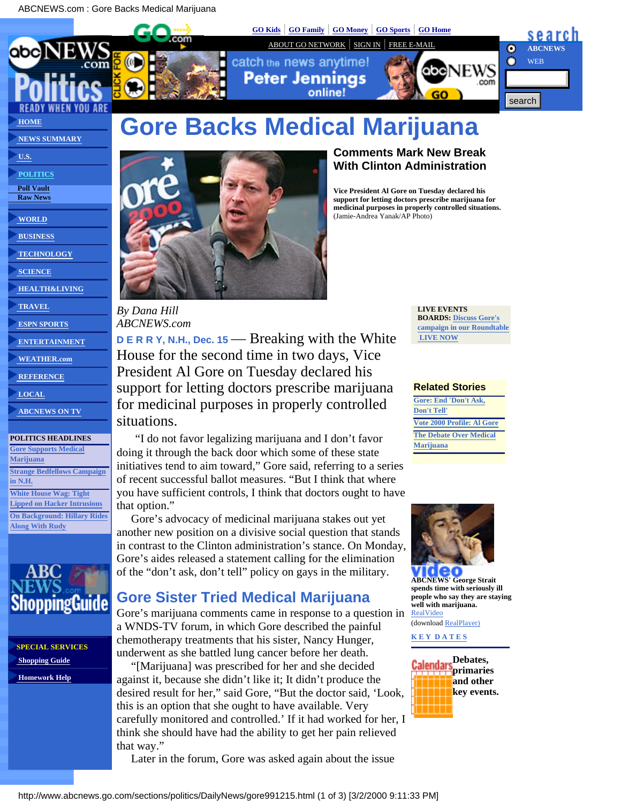<span id="page-0-0"></span>ABCNEWS.com : Gore Backs Medical Marijuana





catch the news anytime! **Peter Jenninas** 

**[GO Kids](http://www.go.com/Center/Kids?&svx=abc_CKID)** | **[GO Family](http://www.go.com/Center/Family?&svx=abc_CFAM)** | **[GO Money](http://money.go.com/?svx=abc_CMON)** | **[GO Sports](http://www.go.com/Center/Sports?svx=abc_CSPT)** | **[GO Home](http://www.go.com/?svx=abc_CHMP)**





# **Gore Backs Medical Marijuana**



*By Dana Hill ABCNEWS.com*

**D E R R Y, N.H., Dec. 15** — Breaking with the White House for the second time in two days, Vice President Al Gore on Tuesday declared his support for letting doctors prescribe marijuana for medicinal purposes in properly controlled situations.

 "I do not favor legalizing marijuana and I don't favor doing it through the back door which some of these state initiatives tend to aim toward," Gore said, referring to a series of recent successful ballot measures. "But I think that where you have sufficient controls, I think that doctors ought to have that option."

 Gore's advocacy of medicinal marijuana stakes out yet another new position on a divisive social question that stands in contrast to the Clinton administration's stance. On Monday, Gore's aides released a statement calling for the elimination of the "don't ask, don't tell" policy on gays in the military.

## **Gore Sister Tried Medical Marijuana**

Gore's marijuana comments came in response to a question in a WNDS-TV forum, in which Gore described the painful chemotherapy treatments that his sister, Nancy Hunger, underwent as she battled lung cancer before her death.

 "[Marijuana] was prescribed for her and she decided against it, because she didn't like it; It didn't produce the desired result for her," said Gore, "But the doctor said, 'Look, this is an option that she ought to have available. Very carefully monitored and controlled.' If it had worked for her, I think she should have had the ability to get her pain relieved that way."

Later in the forum, Gore was asked again about the issue

### **Comments Mark New Break With Clinton Administration**

**Vice President Al Gore on Tuesday declared his support for letting doctors prescribe marijuana for medicinal purposes in properly controlled situations.** (Jamie-Andrea Yanak/AP Photo)

> **LIVE EVENTS BOARDS: [Discuss Gore's](http://boards.go.com/cgi/abcnews/request.dll?LIST&room=thisweek) [campaign in our Roundtable](http://boards.go.com/cgi/abcnews/request.dll?LIST&room=thisweek)  [LIVE NOW](http://boards.go.com/cgi/abcnews/request.dll?LIST&room=thisweek)**

### **Related Stories**

**[Gore: End 'Don't Ask,](http://www.abcnews.go.com/sections/politics/DailyNews/gore991213_gays.html) [Don't Tell'](http://www.abcnews.go.com/sections/politics/DailyNews/gore991213_gays.html) [Vote 2000 Profile: Al Gore](http://www.abcnews.go.com/sections/politics/DailyNews/wh2000_profile_gore.html) [The Debate Over Medical](http://www.abcnews.go.com/sections/us/TakingSides/takingsides3.html) [Marijuana](http://www.abcnews.go.com/sections/us/TakingSides/takingsides3.html)**



**[ABCNEWS](http://play.rbn.com/?swave/abc/demand/990317pot.rm)' [George Strait](http://play.rbn.com/?swave/abc/demand/990317pot.rm) spends time with seriously ill people who say they are staying well with marijuana.** [RealVideo](http://play.rbn.com/?swave/abc/demand/990317pot.rm)

(download [RealPlayer\)](http://www.real.com/products/player/dload.html)

**[K E Y D A T E S](http://www.abcnews.go.com/sections/politics/DailyNews/CALENDAR.html)**



 **[HEALTH&LIVING](http://www.abcnews.go.com/sections/living/)  [TRAVEL](http://www.abcnews.go.com/sections/travel/)**

 **[SCIENCE](http://www.abcnews.go.com/sections/science/)**

 **[ESPN SPORTS](http://www.abcnews.go.com/sections/sports)**

 **[ENTERTAINMENT](http://www.abcnews.go.com/sections/entertainment/)**

 **[NEWS SUMMARY](http://www.abcnews.go.com/newsflash/)**

 **[U.S.](http://www.abcnews.go.com/sections/us/)  [POLITICS](http://www.abcnews.go.com/sections/politics/)  [Poll Vault](http://www.abcnews.go.com/sections/politics/PollVault/PollVault.html)  [Raw News](http://www.abcnews.go.com/wire/politics/)**

 **[WORLD](http://www.abcnews.go.com/sections/world/)  [BUSINESS](http://www.abcnews.go.com/sections/business/)  [TECHNOLOGY](http://www.abcnews.go.com/sections/tech/)**

 **[WEATHER.com](http://www.abcnews.go.com/cgi/transfer.pl?goto=http://www.weather.com/cobrand/abcnews/&name=weather.com_nav)**

 **[REFERENCE](http://www.abcnews.go.com/reference/)**

 **[LOCAL](http://www.abcnews.go.com/local/)**

 **[ABCNEWS ON TV](http://www.abcnews.go.com/onair/)**

### **POLITICS HEADLINES**

**[Gore Supports Medical](#page-0-0) [Marijuana](#page-0-0) [Strange Bedfellows Campaign](http://www.abcnews.go.com/sections/politics/DailyNews/mccain_bradley991214.html) [in N.H.](http://www.abcnews.go.com/sections/politics/DailyNews/mccain_bradley991214.html) [White House Wag: Tight](http://www.abcnews.go.com/sections/politics/WhitehouseWag/wag.html) [Lipped on Hacker Intrusions](http://www.abcnews.go.com/sections/politics/WhitehouseWag/wag.html) [On Background: Hillary Rides](http://www.abcnews.go.com/sections/politics/OnBackground/onbackground.html) [Along With Rudy](http://www.abcnews.go.com/sections/politics/OnBackground/onbackground.html)**



**SPECIAL SERVICES  [Shopping Guide](http://transfer.go.com/cgi/atransfer.pl?name=36981&srvc=nws&guid=04C3130D-F0AA-11D3-967F-0000D11B2E8&goto=http://abcnews.go.com/ad/specialservices/shopping_guide/index.html)  [Homework Help](http://transfer.go.com/cgi/atransfer.pl?name=36981&srvc=nws&guid=04C3130D-F0AA-11D3-967F-0000D11B2E8&goto=http://abcnews.go.com/ad/specialservices/homework_help/index.html)**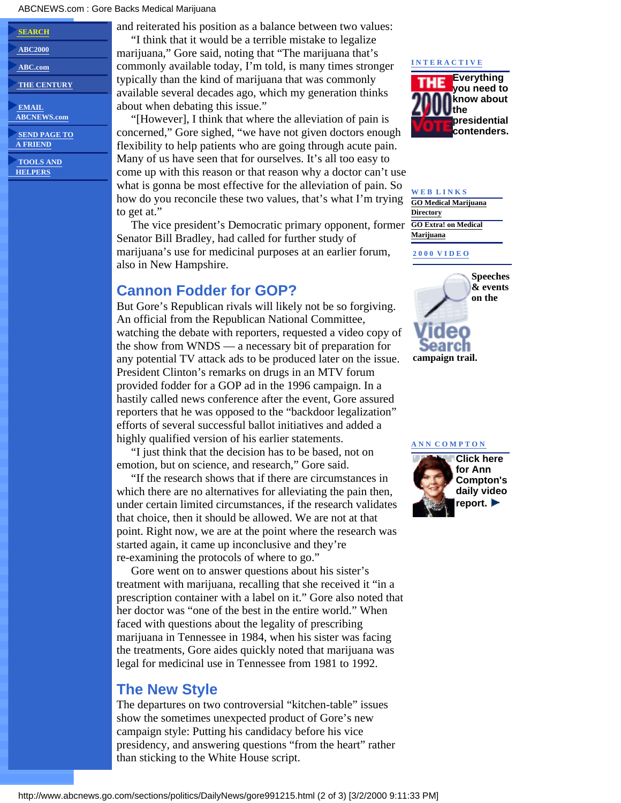#### ABCNEWS.com : Gore Backs Medical Marijuana

| <b>SEARCH</b>                  |
|--------------------------------|
| <b>ABC2000</b>                 |
| <b>ABC.com</b>                 |
| <b>THE CENTURY</b>             |
| <b>EMAIL</b><br>. <del>.</del> |

 **[ABCNEWS.com](http://www.abcnews.go.com/service/help/abccontact.html)  [SEND PAGE TO](http://jmailer.starwave.com/cgi/news/mailtofriend.asp)**

 **[A FRIEND](http://jmailer.starwave.com/cgi/news/mailtofriend.asp)**

 **[TOOLS AND](http://www.abcnews.go.com/service/help/toolbox.html)  [HELPERS](http://www.abcnews.go.com/service/help/toolbox.html)**

and reiterated his position as a balance between two values:

 "I think that it would be a terrible mistake to legalize marijuana," Gore said, noting that "The marijuana that's commonly available today, I'm told, is many times stronger typically than the kind of marijuana that was commonly available several decades ago, which my generation thinks about when debating this issue."

 "[However], I think that where the alleviation of pain is concerned," Gore sighed, "we have not given doctors enough flexibility to help patients who are going through acute pain. Many of us have seen that for ourselves. It's all too easy to come up with this reason or that reason why a doctor can't use what is gonna be most effective for the alleviation of pain. So how do you reconcile these two values, that's what I'm trying to get at."

 The vice president's Democratic primary opponent, former Senator Bill Bradley, had called for further study of marijuana's use for medicinal purposes at an earlier forum, also in New Hampshire.

### **Cannon Fodder for GOP?**

But Gore's Republican rivals will likely not be so forgiving. An official from the Republican National Committee, watching the debate with reporters, requested a video copy of the show from WNDS — a necessary bit of preparation for any potential TV attack ads to be produced later on the issue. President Clinton's remarks on drugs in an MTV forum provided fodder for a GOP ad in the 1996 campaign. In a hastily called news conference after the event, Gore assured reporters that he was opposed to the "backdoor legalization" efforts of several successful ballot initiatives and added a highly qualified version of his earlier statements.

 "I just think that the decision has to be based, not on emotion, but on science, and research," Gore said.

 "If the research shows that if there are circumstances in which there are no alternatives for alleviating the pain then, under certain limited circumstances, if the research validates that choice, then it should be allowed. We are not at that point. Right now, we are at the point where the research was started again, it came up inconclusive and they're re-examining the protocols of where to go."

 Gore went on to answer questions about his sister's treatment with marijuana, recalling that she received it "in a prescription container with a label on it." Gore also noted that her doctor was "one of the best in the entire world." When faced with questions about the legality of prescribing marijuana in Tennessee in 1984, when his sister was facing the treatments, Gore aides quickly noted that marijuana was legal for medicinal use in Tennessee from 1981 to 1992.

### **The New Style**

The departures on two controversial "kitchen-table" issues show the sometimes unexpected product of Gore's new campaign style: Putting his candidacy before his vice presidency, and answering questions "from the heart" rather than sticking to the White House script.

#### **[I N T E R A C T I V E](javascript:PopoffWindow()**



### **W E B L I N K S [GO Medical Marijuana](http://www.go.com/WebDir/Medicinal_marijuana) [Directory](http://www.go.com/WebDir/Medicinal_marijuana) [GO Extra! on Medical](http://www.go.com/news/news_extra.html?qt=%22medical+marijuana%22&nh=10&tv=11002) [Marijuana](http://www.go.com/news/news_extra.html?qt=%22medical+marijuana%22&nh=10&tv=11002)**

**[2 0 0 0 V I D E O](http://www.abcnews.go.com/sections/politics/DailyNews/virage_search.html)**



#### **[A N N C O M P T O N](#page-0-0)**